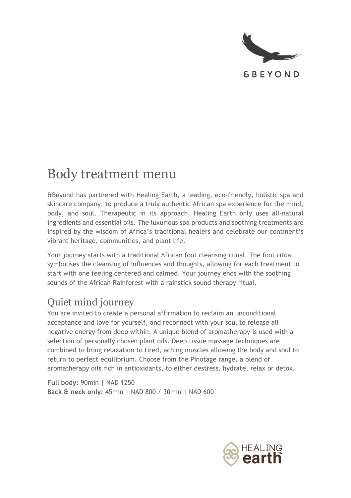

**&BEYOND** 

# Body treatment menu

&Beyond has partnered with Healing Earth, a leading, eco-friendly, holistic spa and skincare company, to produce a truly authentic African spa experience for the mind, body, and soul. Therapeutic in its approach, Healing Earth only uses all-natural ingredients and essential oils. The luxurious spa products and soothing treatments are inspired by the wisdom of Africa's traditional healers and celebrate our continent's vibrant heritage, communities, and plant life.

Your journey starts with a traditional African foot cleansing ritual. The foot ritual symbolises the cleansing of influences and thoughts, allowing for each treatment to start with one feeling centered and calmed. Your journey ends with the soothing sounds of the African Rainforest with a rainstick sound therapy ritual.

#### Quiet mind journey

You are invited to create a personal affirmation to reclaim an unconditional acceptance and love for yourself, and reconnect with your soul to release all negative energy from deep within. A unique blend of aromatherapy is used with a selection of personally chosen plant oils. Deep tissue massage techniques are combined to bring relaxation to tired, aching muscles allowing the body and soul to return to perfect equilibrium. Choose from the Pinotage range, a blend of aromatherapy oils rich in antioxidants, to either destress, hydrate, relax or detox.

**Full body:** 90min | NAD 1250 **Back & neck only:** 45min | NAD 800 / 30min | NAD 600

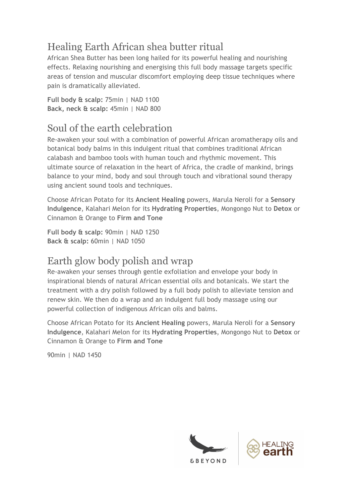# Healing Earth African shea butter ritual

African Shea Butter has been long hailed for its powerful healing and nourishing effects. Relaxing nourishing and energising this full body massage targets specific areas of tension and muscular discomfort employing deep tissue techniques where pain is dramatically alleviated.

**Full body & scalp:** 75min | NAD 1100 **Back, neck & scalp:** 45min | NAD 800

### Soul of the earth celebration

Re-awaken your soul with a combination of powerful African aromatherapy oils and botanical body balms in this indulgent ritual that combines traditional African calabash and bamboo tools with human touch and rhythmic movement. This ultimate source of relaxation in the heart of Africa, the cradle of mankind, brings balance to your mind, body and soul through touch and vibrational sound therapy using ancient sound tools and techniques.

Choose African Potato for its **Ancient Healing** powers, Marula Neroli for a **Sensory Indulgence**, Kalahari Melon for its **Hydrating Properties**, Mongongo Nut to **Detox** or Cinnamon & Orange to **Firm and Tone**

**Full body & scalp:** 90min | NAD 1250 **Back & scalp:** 60min | NAD 1050

# Earth glow body polish and wrap

Re-awaken your senses through gentle exfoliation and envelope your body in inspirational blends of natural African essential oils and botanicals. We start the treatment with a dry polish followed by a full body polish to alleviate tension and renew skin. We then do a wrap and an indulgent full body massage using our powerful collection of indigenous African oils and balms.

Choose African Potato for its **Ancient Healing** powers, Marula Neroli for a **Sensory Indulgence**, Kalahari Melon for its **Hydrating Properties**, Mongongo Nut to **Detox** or Cinnamon & Orange to **Firm and Tone**

90min | NAD 1450